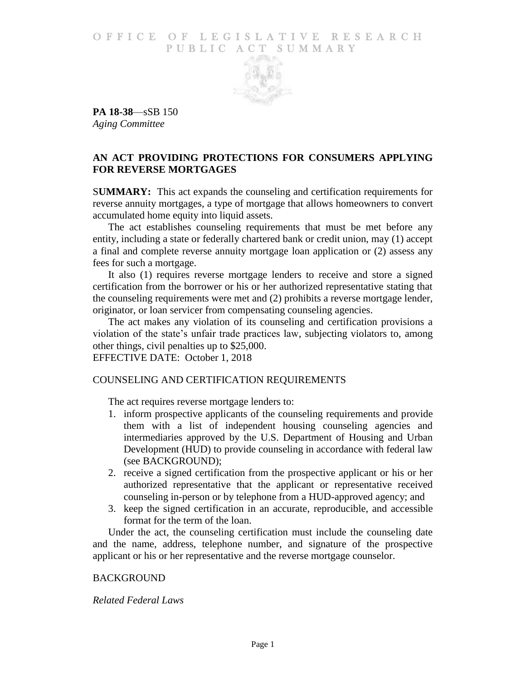# O F FICE OF LEGISLATIVE RESEARCH PUBLIC ACT SUMMARY



**PA 18-38**—sSB 150 *Aging Committee*

# **AN ACT PROVIDING PROTECTIONS FOR CONSUMERS APPLYING FOR REVERSE MORTGAGES**

S**UMMARY:** This act expands the counseling and certification requirements for reverse annuity mortgages, a type of mortgage that allows homeowners to convert accumulated home equity into liquid assets.

The act establishes counseling requirements that must be met before any entity, including a state or federally chartered bank or credit union, may (1) accept a final and complete reverse annuity mortgage loan application or (2) assess any fees for such a mortgage.

It also (1) requires reverse mortgage lenders to receive and store a signed certification from the borrower or his or her authorized representative stating that the counseling requirements were met and (2) prohibits a reverse mortgage lender, originator, or loan servicer from compensating counseling agencies.

The act makes any violation of its counseling and certification provisions a violation of the state's unfair trade practices law, subjecting violators to, among other things, civil penalties up to \$25,000.

EFFECTIVE DATE: October 1, 2018

# COUNSELING AND CERTIFICATION REQUIREMENTS

The act requires reverse mortgage lenders to:

- 1. inform prospective applicants of the counseling requirements and provide them with a list of independent housing counseling agencies and intermediaries approved by the U.S. Department of Housing and Urban Development (HUD) to provide counseling in accordance with federal law (see BACKGROUND);
- 2. receive a signed certification from the prospective applicant or his or her authorized representative that the applicant or representative received counseling in-person or by telephone from a HUD-approved agency; and
- 3. keep the signed certification in an accurate, reproducible, and accessible format for the term of the loan.

Under the act, the counseling certification must include the counseling date and the name, address, telephone number, and signature of the prospective applicant or his or her representative and the reverse mortgage counselor.

#### **BACKGROUND**

# *Related Federal Laws*